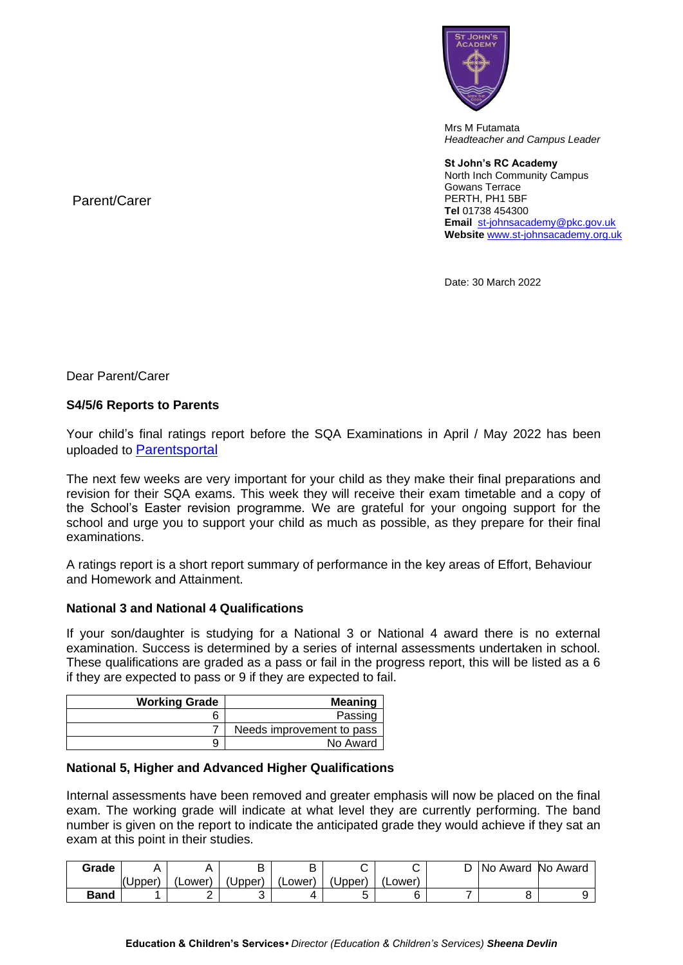

Mrs M Futamata *Headteacher and Campus Leader*

**St John's RC Academy**  North Inch Community Campus Gowans Terrace PERTH, PH1 5BF **Tel** 01738 454300 **Email** [st-johnsacademy@pkc.gov.uk](mailto:st-johnsacademy@pkc.gov.uk) **Website** [www.st-johnsacademy.org.uk](http://www.st-johnsacademy.org.uk/)

Date: 30 March 2022

Parent/Carer

Dear Parent/Carer

## **S4/5/6 Reports to Parents**

Your child's final ratings report before the SQA Examinations in April / May 2022 has been uploaded to [Parentsportal](https://parentsportal.scot/home/)

The next few weeks are very important for your child as they make their final preparations and revision for their SQA exams. This week they will receive their exam timetable and a copy of the School's Easter revision programme. We are grateful for your ongoing support for the school and urge you to support your child as much as possible, as they prepare for their final examinations.

A ratings report is a short report summary of performance in the key areas of Effort, Behaviour and Homework and Attainment.

## **National 3 and National 4 Qualifications**

If your son/daughter is studying for a National 3 or National 4 award there is no external examination. Success is determined by a series of internal assessments undertaken in school. These qualifications are graded as a pass or fail in the progress report, this will be listed as a 6 if they are expected to pass or 9 if they are expected to fail.

| <b>Working Grade</b> | <b>Meaning</b>            |
|----------------------|---------------------------|
|                      | Passing                   |
|                      | Needs improvement to pass |
|                      | No Award                  |

## **National 5, Higher and Advanced Higher Qualifications**

Internal assessments have been removed and greater emphasis will now be placed on the final exam. The working grade will indicate at what level they are currently performing. The band number is given on the report to indicate the anticipated grade they would achieve if they sat an exam at this point in their studies.

| Grade |        |         |         |         | ⌒       |                 | INo Award | No Award |
|-------|--------|---------|---------|---------|---------|-----------------|-----------|----------|
|       | (Upper | .Lower' | (Upper) | (Lower) | (Upper) | <b>Lower</b> ). |           |          |
| Band  |        | -       |         |         |         |                 |           |          |